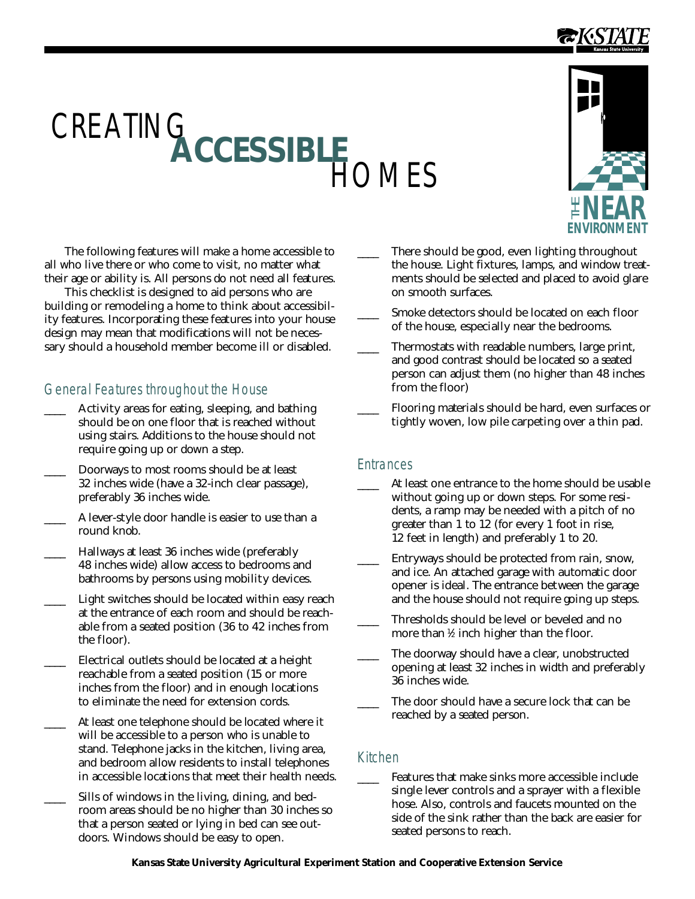# CREATING<br>**ACCESSIBLE**

The following features will make a home accessible to all who live there or who come to visit, no matter what their age or ability is. All persons do not need all features.

This checklist is designed to aid persons who are building or remodeling a home to think about accessibility features. Incorporating these features into your house design may mean that modifications will not be necessary should a household member become ill or disabled.

# General Features throughout the House

- \_\_\_\_ A ctivity areas for eating, sleeping, and bathing should be on one floor that is reached without using stairs. Additions to the house should not require going up or down a step.
- \_\_\_\_ Doorways to most rooms should be at least 32 inches wide (have a 32-inch clear passage), preferably 36 inches wide.
- A lever-style door handle is easier to use than a round knob.
- Hallways at least 36 inches wide (preferably 48 inches wide) allow access to bedrooms and bathrooms by persons using mobility devices.
- Light switches should be located within easy reach at the entrance of each room and should be reachable from a seated position (36 to 42 inches from the floor).
- Electrical outlets should be located at a height reachable from a seated position (15 or more inches from the floor) and in enough locations to eliminate the need for extension cords.
- At least one telephone should be located where it will be accessible to a person who is unable to stand. Telephone jacks in the kitchen, living area, and bedroom allow residents to install telephones in accessible locations that meet their health needs.
- Sills of windows in the living, dining, and bedroom areas should be no higher than 30 inches so that a person seated or lying in bed can see outdoors. Windows should be easy to open.
- There should be good, even lighting throughout the house. Light fixtures, lamps, and window treatments should be selected and placed to avoid glare on smooth surfaces.
- Smoke detectors should be located on each floor of the house, especially near the bedrooms.
- Thermostats with readable numbers, large print, and good contrast should be located so a seated person can adjust them (no higher than 48 inches from the floor)
- Flooring materials should be hard, even surfaces or tightly woven, low pile carpeting over a thin pad.

## **Entrances**

**FIOMES** 

- At least one entrance to the home should be usable without going up or down steps. For some residents, a ramp may be needed with a pitch of no greater than 1 to 12 (for every 1 foot in rise, 12 feet in length) and preferably 1 to 20.
- \_\_\_\_ Entryways should be protected from rain, snow, and ice. An attached garage with automatic door opener is ideal. The entrance between the garage and the house should not require going up steps.
- Thresholds should be level or beveled and no more than  $\frac{1}{2}$  inch higher than the floor.
- The doorway should have a clear, unobstructed opening at least 32 inches in width and preferably 36 inches wide.
- The door should have a secure lock that can be reached by a seated person.

## Kitchen

Features that make sinks more accessible include single lever controls and a sprayer with a flexible hose. Also, controls and faucets mounted on the side of the sink rather than the back are easier for seated persons to reach.



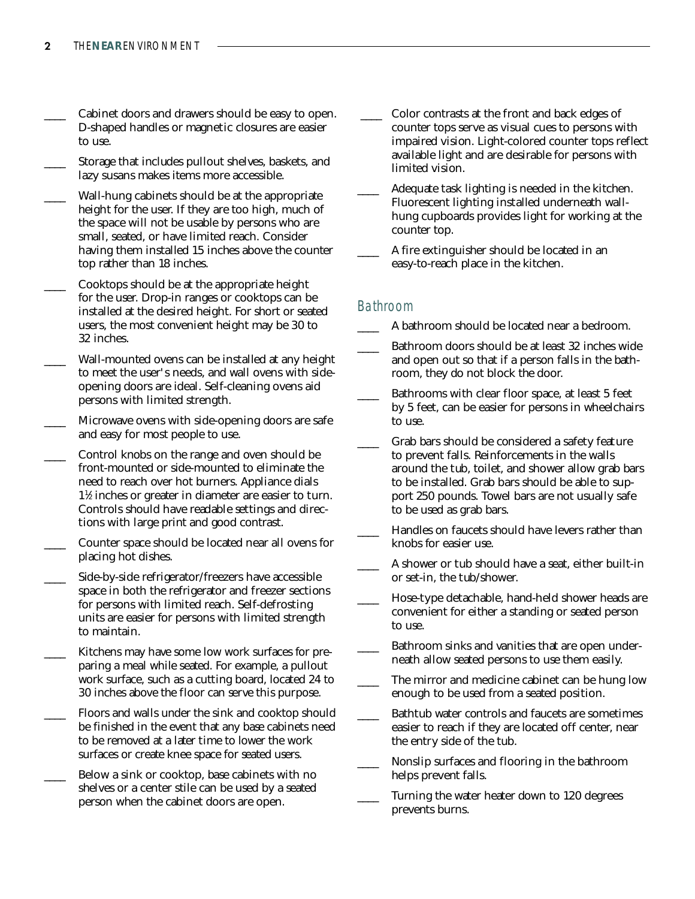- Cabinet doors and drawers should be easy to open. D-shaped handles or magnetic closures are easier to use.
- Storage that includes pullout shelves, baskets, and lazy susans makes items more accessible.
- Wall-hung cabinets should be at the appropriate height for the user. If they are too high, much of the space will not be usable by persons who are small, seated, or have limited reach. Consider having them installed 15 inches above the counter top rather than 18 inches.
- \_\_\_\_ Cooktops should be at the appropriate height for the user. Drop-in ranges or cooktops can be installed at the desired height. For short or seated users, the most convenient height may be 30 to 32 inches.
- Wall-mounted ovens can be installed at any height to meet the user's needs, and wall ovens with sideopening doors are ideal. Self-cleaning ovens aid persons with limited strength.
- Microwave ovens with side-opening doors are safe and easy for most people to use.
- Control knobs on the range and oven should be front-mounted or side-mounted to eliminate the need to reach over hot burners. Appliance dials 1<sup>1</sup>/<sub>2</sub> inches or greater in diameter are easier to turn. Controls should have readable settings and directions with large print and good contrast.
- Counter space should be located near all ovens for placing hot dishes.
- Side-by-side refrigerator/freezers have accessible space in both the refrigerator and freezer sections for persons with limited reach. Self-defrosting units are easier for persons with limited strength to maintain.
- Kitchens may have some low work surfaces for preparing a meal while seated. For example, a pullout work surface, such as a cutting board, located 24 to 30 inches above the floor can serve this purpose.
- Floors and walls under the sink and cooktop should be finished in the event that any base cabinets need to be removed at a later time to lower the work surfaces or create knee space for seated users.
- \_\_\_\_ Below a sink or cooktop, base cabinets with no shelves or a center stile can be used by a seated person when the cabinet doors are open.
- \_\_\_\_ Color contrasts at the front and back edges of counter tops serve as visual cues to persons with impaired vision. Light-colored counter tops reflect available light and are desirable for persons with limited vision.
- Adequate task lighting is needed in the kitchen. Fluorescent lighting installed underneath wallhung cupboards provides light for working at the counter top.
- \_\_\_\_ A fire extinguisher should be located in an easy-to-reach place in the kitchen.

### Bathroom

- A bathroom should be located near a bedroom.
- Bathroom doors should be at least 32 inches wide and open out so that if a person falls in the bathroom, they do not block the door.
- Bathrooms with clear floor space, at least 5 feet by 5 feet, can be easier for persons in wheelchairs to use.
- Grab bars should be considered a safety feature to prevent falls. Reinforcements in the walls around the tub, toilet, and shower allow grab bars to be installed. Grab bars should be able to support 250 pounds. Towel bars are not usually safe to be used as grab bars.
- Handles on faucets should have levers rather than knobs for easier use.
- \_\_\_\_ A shower or tub should have a seat, either built-in or set-in, the tub/shower.
- Hose-type detachable, hand-held shower heads are convenient for either a standing or seated person to use.
- Bathroom sinks and vanities that are open underneath allow seated persons to use them easily.
- The mirror and medicine cabinet can be hung low enough to be used from a seated position.
- Bathtub water controls and faucets are sometimes easier to reach if they are located off center, near the entry side of the tub.
- Nonslip surfaces and flooring in the bathroom helps prevent falls.
- Turning the water heater down to 120 degrees prevents burns.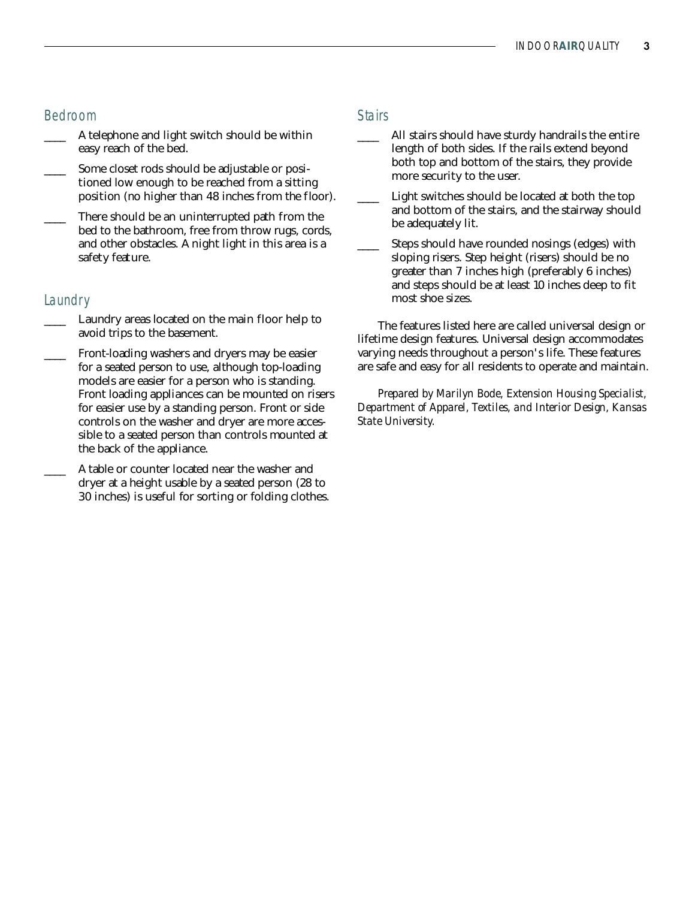### Bedroom

- A telephone and light switch should be within easy reach of the bed.
- Some closet rods should be adjustable or positioned low enough to be reached from a sitting position (no higher than 48 inches from the floor).
- There should be an uninterrupted path from the bed to the bathroom, free from throw rugs, cords, and other obstacles. A night light in this area is a safety feature.

### Laundry

- Laundry areas located on the main floor help to avoid trips to the basement.
- Front-loading washers and dryers may be easier for a seated person to use, although top-loading models are easier for a person who is standing. Front loading appliances can be mounted on risers for easier use by a standing person. Front or side controls on the washer and dryer are more accessible to a seated person than controls mounted at the back of the appliance.
- A table or counter located near the washer and dryer at a height usable by a seated person (28 to 30 inches) is useful for sorting or folding clothes.

### **Stairs**

- All stairs should have sturdy handrails the entire length of both sides. If the rails extend beyond both top and bottom of the stairs, they provide more security to the user.
- Light switches should be located at both the top and bottom of the stairs, and the stairway should be adequately lit.
- Steps should have rounded nosings (edges) with sloping risers. Step height (risers) should be no greater than 7 inches high (preferably 6 inches) and steps should be at least 10 inches deep to fit most shoe sizes.

The features listed here are called universal design or lifetime design features. Universal design accommodates varying needs throughout a person's life. These features are safe and easy for all residents to operate and maintain.

*Prepared by Marilyn Bode, Extension Housing Specialist, Department of Apparel, Textiles, and Interior Design, Kansas State University.*